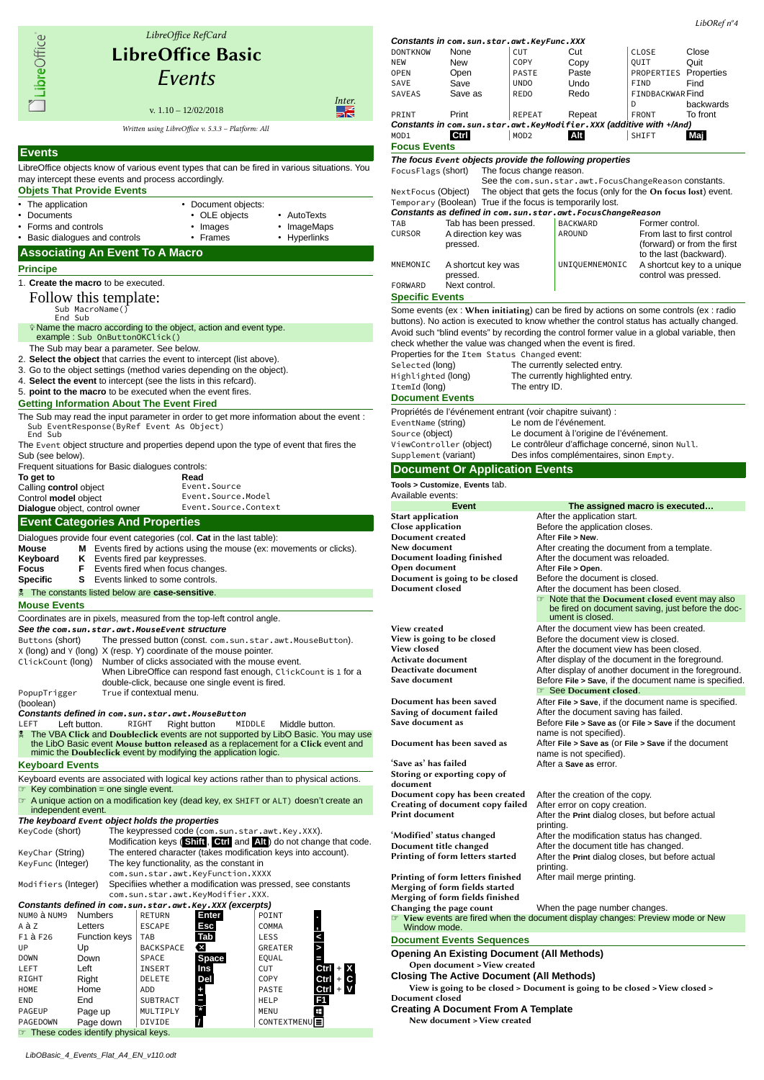

CONTEXTMENUE

NEW New COPY Copy QUIT Quit OPEN Open PASTE Paste PROPERTIES Properties<br>SAVE Save UNDO Undo FIND Find SAVE Save UNDO Undo FIND Find SAVEAS Save as REDO Redo FINDBACKWAR Find D<br>FRONT backwards PRINT Print REPEAT Repeat FRONT To front *Constants in com.sun.star.awt.KeyModifier.XXX (additive with +/And)* MOD1 **Ctrl** MOD2 **Alt** SHIFT **Maj Focus Events** *The focus Event objects provide the following properties* FocusFlags (short) The focus change reason. See the com.sun.star.awt.FocusChangeReason constants. NextFocus (Object) The object that gets the focus (only for the On focus lost) event. Temporary (Boolean) True if the focus is temporarily lost. *Constants as defined in com.sun.star.awt.FocusChangeReason* TAB Tab has been pressed. BACKWA<br>CURSOR A direction key was A direction key was pressed. From last to first control (forward) or from the first to the last (backward). MNEMONIC A shortcut key was pressed. UNIQUEMNEMONIC A shortcut key to a unique control was pressed. FORWARD Next control. **Specific Events** Some events (ex : When initiating) can be fired by actions on some controls (ex : radio buttons). No action is executed to know whether the control status has actually changed. Avoid such "blind events" by recording the control former value in a global variable, then check whether the value was changed when the event is fired. Properties for the Item Status Changed event: Selected (long) The currently selected entry. Highlighted (long) The currently highlighted entry. ItemId (long) The entry ID. **Document Events** Propriétés de l'événement entrant (voir chapitre suivant) : EventName (string) Le nom de l'événement. Source (object) Le document à l'origine de l'événement. ViewController (object) Le contrôleur d'affichage concerné, sinon Null. Supplement (variant) Des infos complémentaires, sinon Empty. **Document Or Application Events Tools > Customize**, **Events** tab. Available events: **Event Event Executed...**<br>**Examplication Exercise After the application start.** Start application **After the application start.**<br>Close application **Before the application** clos Before the application closes.<br>After File > New. **Document created<br>New document** New document<br>
Document loading finished<br>
After the document was reloaded.<br>
After the document was reloaded. After the document was reloaded.<br>After File > Open. Open document  $\rule{1em}{0.15mm}$  After File > Open.<br>Document is going to be closed Before the document is closed. Document is going to be closed Document closed After the document has been closed. **Note that the Document closed event may also** be fired on document saving, just before the document is closed. View created **After the document view has been created.**<br>
View is going to be closed Before the document view is closed. View is going to be closed<br>
View closed<br>
View closed<br>
After the document view has been c View closed **After the document view has been closed**. Activate document After display of the document in the foreground. Deactivate document<br>
Save document<br>
Before File > Save. if the document name is specified Before File > Save, if the document name is specified. See Document closed. Document has been saved<br>
Saving of document failed<br>
After the document saving has failed. Saving of document failed<br>
Save document as<br>
Before File > Save as (Or File > Save if Before **File** > Save as (or **File** > Save if the document name is not specified). Document has been saved as After **File > Save as** (or **File > Save** if the document name is not specified). 'Save as' has failed After a **Save as** error. Storing or exporting copy of document Document copy has been created After the creation of the copy.<br>Creating of document copy failed After error on copy creation. Creating of document copy failed Print document After the **Print** dialog closes, but before actual printing. 'Modified' status changed After the modification status has changed. Document title changed<br>
Printing of form letters started After the Print dialog closes, but before After the **Print** dialog closes, but before actual printing.<br>After mail merge printing. Printing of form letters finished Merging of form fields started Merging of form fields finished Changing the page count When the page number changes. ☞ View events are fired when the document display changes: Preview mode or New Window mode **Document Events Sequences Opening An Existing Document (All Methods)** Open document > View created **Closing The Active Document (All Methods)**

View is going to be closed > Document is going to be closed > View closed > Document closed

**Creating A Document From A Template**

New document > View created

☞ These codes identify physical keys.